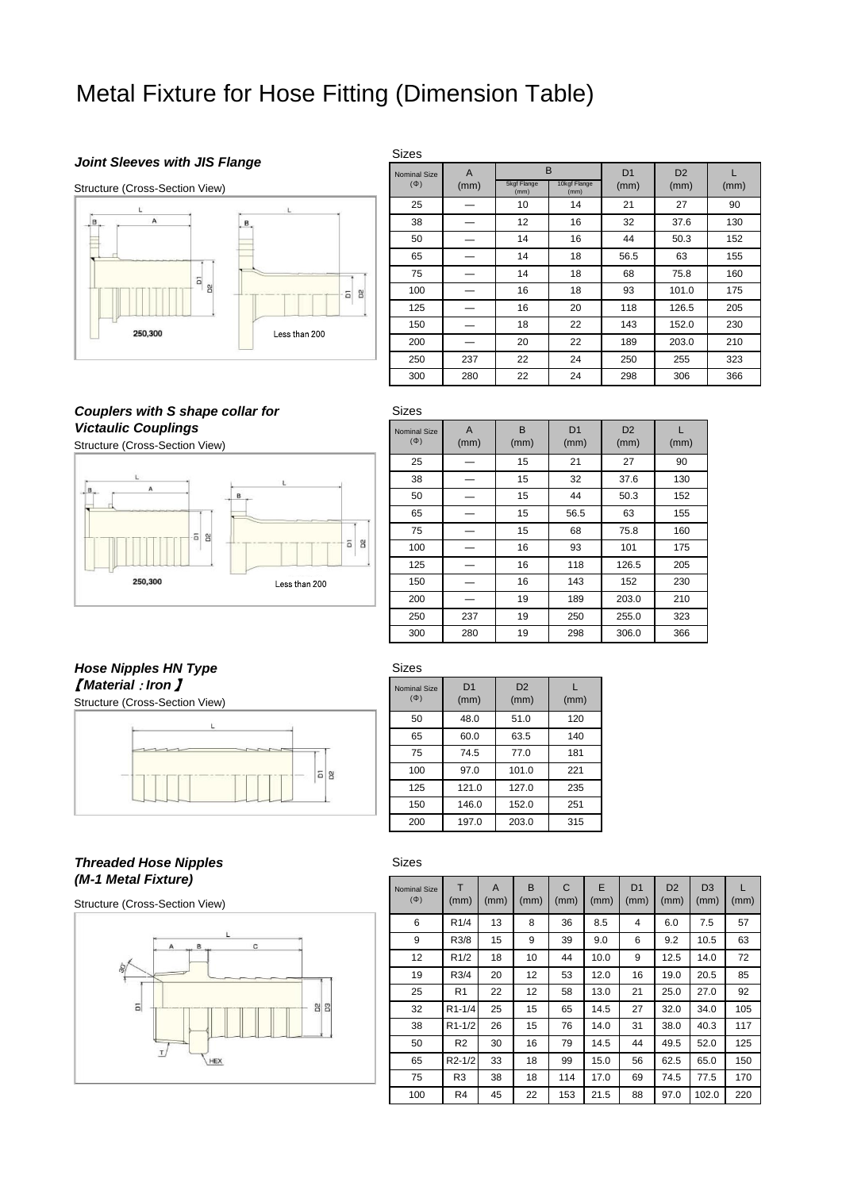# Metal Fixture for Hose Fitting (Dimension Table)

### *Joint Sleeves with JIS Flange*



| Sizes               |                |                         |              |                |                |      |  |  |
|---------------------|----------------|-------------------------|--------------|----------------|----------------|------|--|--|
| <b>Nominal Size</b> | $\overline{A}$ | B<br><b>5kgf Flange</b> | 10kgf Flange | D <sub>1</sub> | D <sub>2</sub> |      |  |  |
| $(\Phi)$            | (mm)           | (mm)                    | (mm)         | (mm)           | (mm)           | (mm) |  |  |
| 25                  |                | 10                      | 14           | 21             | 27             | 90   |  |  |
| 38                  |                | 12 <sup>2</sup>         | 16           | 32             | 37.6           | 130  |  |  |
| 50                  |                | 14                      | 16           | 44             | 50.3           | 152  |  |  |
| 65                  |                | 14                      | 18           | 56.5           | 63             | 155  |  |  |
| 75                  |                | 14                      | 18           | 68             | 75.8           | 160  |  |  |
| 100                 |                | 16                      | 18           | 93             | 101.0          | 175  |  |  |
| 125                 |                | 16                      | 20           | 118            | 126.5          | 205  |  |  |
| 150                 |                | 18                      | 22           | 143            | 152.0          | 230  |  |  |
| 200                 |                | 20                      | 22           | 189            | 203.0          | 210  |  |  |
| 250                 | 237            | 22                      | 24           | 250            | 255            | 323  |  |  |
| 300                 | 280            | 22                      | 24           | 298            | 306            | 366  |  |  |

*Couplers with S shape collar for* **Victaulic Couplings** 

Structure (Cross-Section View)



| <b>Sizes</b>                    |           |           |                        |                        |      |
|---------------------------------|-----------|-----------|------------------------|------------------------|------|
| <b>Nominal Size</b><br>$(\Phi)$ | A<br>(mm) | B<br>(mm) | D <sub>1</sub><br>(mm) | D <sub>2</sub><br>(mm) | (mm) |
| 25                              |           | 15        | 21                     | 27                     | 90   |
| 38                              |           | 15        | 32                     | 37.6                   | 130  |
| 50                              |           | 15        | 44                     | 50.3                   | 152  |
| 65                              |           | 15        | 56.5                   | 63                     | 155  |
| 75                              |           | 15        | 68                     | 75.8                   | 160  |
| 100                             |           | 16        | 93                     | 101                    | 175  |
| 125                             |           | 16        | 118                    | 126.5                  | 205  |
| 150                             |           | 16        | 143                    | 152                    | 230  |
| 200                             |           | 19        | 189                    | 203.0                  | 210  |
| 250                             | 237       | 19        | 250                    | 255.0                  | 323  |
| 300                             | 280       | 19        | 298                    | 306.0                  | 366  |

# *Hose Nipples HN Type Material : Iron 】* Nominal Size

Structure (Cross-Section View)



# *Threaded Hose Nipples (M-1 Metal Fixture)*

Structure (Cross-Section View)



# Sizes

Sizes

(Φ)

D<sub>1</sub> (mm)

D2 (mm)

50 48.0 51.0 120

65 60.0 63.5 140 75 74.5 77.0 181

100 97.0 101.0 221 125 121.0 127.0 235

150 146.0 152.0 251 200 197.0 203.0 315

L (mm)

| <b>Nominal Size</b><br>$(\Phi)$ | т<br>(mm)           | A<br>(mm) | B<br>(mm) | $\mathsf{C}$<br>(mm) | E<br>(mm) | D <sub>1</sub><br>(mm) | D <sub>2</sub><br>(mm) | D <sub>3</sub><br>(mm) | L<br>(mm) |
|---------------------------------|---------------------|-----------|-----------|----------------------|-----------|------------------------|------------------------|------------------------|-----------|
| 6                               | R <sub>1</sub> /4   | 13        | 8         | 36                   | 8.5       | 4                      | 6.0                    | 7.5                    | 57        |
| 9                               | R3/8                | 15        | 9         | 39                   | 9.0       | 6                      | 9.2                    | 10.5                   | 63        |
| 12                              | R1/2                | 18        | 10        | 44                   | 10.0      | 9                      | 12.5                   | 14.0                   | 72        |
| 19                              | R3/4                | 20        | 12        | 53                   | 12.0      | 16                     | 19.0                   | 20.5                   | 85        |
| 25                              | R <sub>1</sub>      | 22        | 12        | 58                   | 13.0      | 21                     | 25.0                   | 27.0                   | 92        |
| 32                              | R <sub>1</sub> -1/4 | 25        | 15        | 65                   | 14.5      | 27                     | 32.0                   | 34.0                   | 105       |
| 38                              | R <sub>1</sub> -1/2 | 26        | 15        | 76                   | 14.0      | 31                     | 38.0                   | 40.3                   | 117       |
| 50                              | R <sub>2</sub>      | 30        | 16        | 79                   | 14.5      | 44                     | 49.5                   | 52.0                   | 125       |
| 65                              | R <sub>2</sub> -1/2 | 33        | 18        | 99                   | 15.0      | 56                     | 62.5                   | 65.0                   | 150       |
| 75                              | R3                  | 38        | 18        | 114                  | 17.0      | 69                     | 74.5                   | 77.5                   | 170       |
| 100                             | R4                  | 45        | 22        | 153                  | 21.5      | 88                     | 97.0                   | 102.0                  | 220       |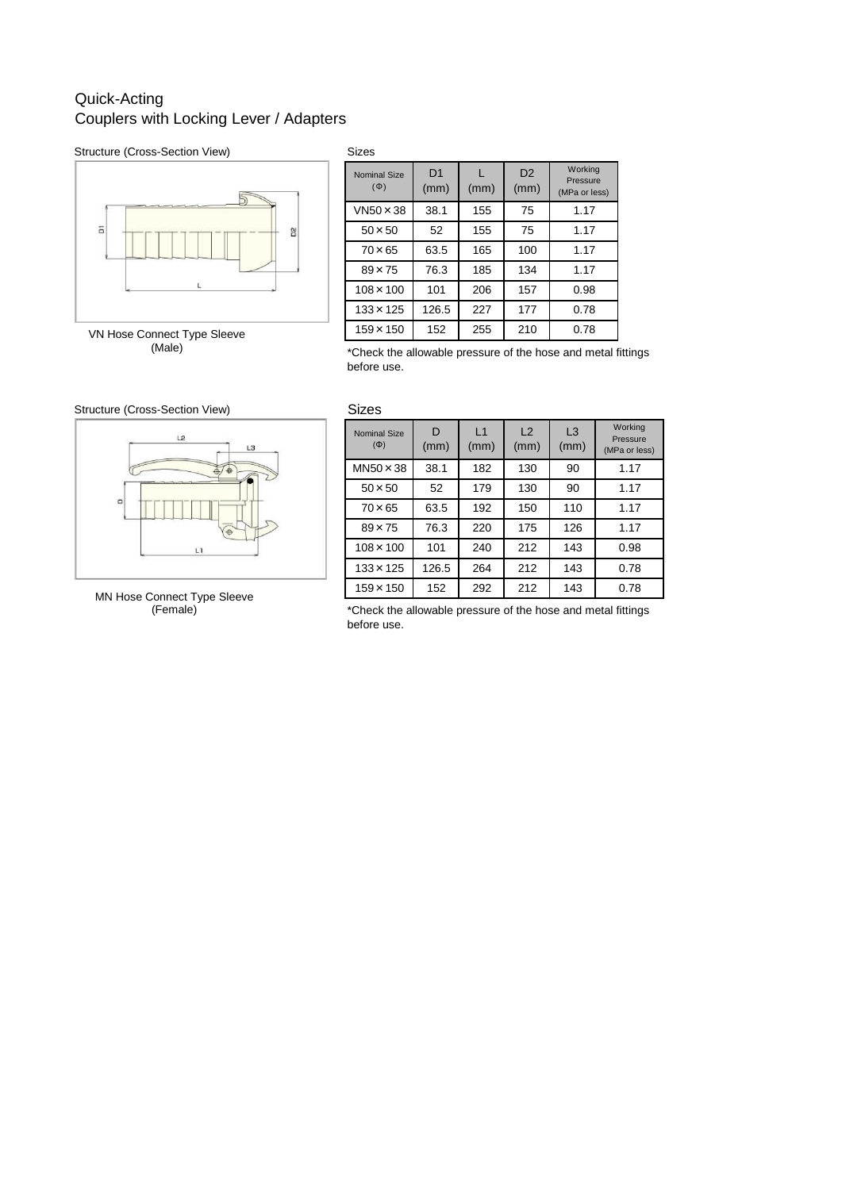# Quick-Acting Couplers with Locking Lever / Adapters

### Structure (Cross-Section View) Sizes



VN Hose Connect Type Sleeve (Male)

| <b>Nominal Size</b><br>$(\Phi)$ | D <sub>1</sub><br>(mm) | (mm) | D <sub>2</sub><br>(mm) | Working<br>Pressure<br>(MPa or less) |
|---------------------------------|------------------------|------|------------------------|--------------------------------------|
| $VN50 \times 38$                | 38.1                   | 155  | 75                     | 1.17                                 |
| $50 \times 50$                  | 52                     | 155  | 75                     | 1.17                                 |
| $70 \times 65$                  | 63.5                   | 165  | 100                    | 1.17                                 |
| $89 \times 75$                  | 76.3                   | 185  | 134                    | 1.17                                 |
| $108 \times 100$                | 101                    | 206  | 157                    | 0.98                                 |
| $133 \times 125$                | 126.5                  | 227  | 177                    | 0.78                                 |
| $159 \times 150$                | 152                    | 255  | 210                    | 0.78                                 |

\*Check the allowable pressure of the hose and metal fittings before use.

### Structure (Cross-Section View) Sizes



MN Hose Connect Type Sleeve (Female)

| סו∠וט                           |           |            |            |                        |                                      |
|---------------------------------|-----------|------------|------------|------------------------|--------------------------------------|
| <b>Nominal Size</b><br>$(\Phi)$ | D<br>(mm) | L1<br>(mm) | L2<br>(mm) | L <sub>3</sub><br>(mm) | Working<br>Pressure<br>(MPa or less) |
| $MN50 \times 38$                | 38.1      | 182        | 130        | 90                     | 1.17                                 |
| $50 \times 50$                  | 52        | 179        | 130        | 90                     | 1.17                                 |
| $70 \times 65$                  | 63.5      | 192        | 150        | 110                    | 1.17                                 |
| $89 \times 75$                  | 76.3      | 220        | 175        | 126                    | 1.17                                 |
| $108 \times 100$                | 101       | 240        | 212        | 143                    | 0.98                                 |
| $133 \times 125$                | 126.5     | 264        | 212        | 143                    | 0.78                                 |
| $159 \times 150$                | 152       | 292        | 212        | 143                    | 0.78                                 |

\*Check the allowable pressure of the hose and metal fittings before use.